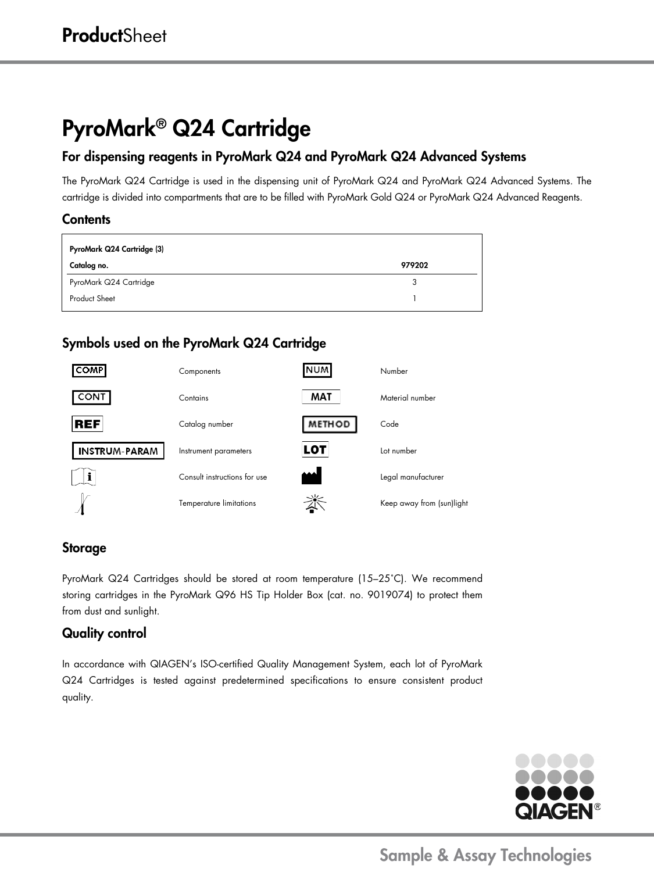# PyroMark® Q24 Cartridge

## For dispensing reagents in PyroMark Q24 and PyroMark Q24 Advanced Systems

The PyroMark Q24 Cartridge is used in the dispensing unit of PyroMark Q24 and PyroMark Q24 Advanced Systems. The cartridge is divided into compartments that are to be filled with PyroMark Gold Q24 or PyroMark Q24 Advanced Reagents.

#### **Contents**

| PyroMark Q24 Cartridge (3) |        |  |
|----------------------------|--------|--|
| Catalog no.                | 979202 |  |
| PyroMark Q24 Cartridge     |        |  |
| <b>Product Sheet</b>       |        |  |

## Symbols used on the PyroMark Q24 Cartridge



#### Storage

PyroMark Q24 Cartridges should be stored at room temperature (15–25˚C). We recommend storing cartridges in the PyroMark Q96 HS Tip Holder Box (cat. no. 9019074) to protect them from dust and sunlight.

#### Quality control

In accordance with QIAGEN's ISO-certified Quality Management System, each lot of PyroMark Q24 Cartridges is tested against predetermined specifications to ensure consistent product quality.



Sample & Assay Technologies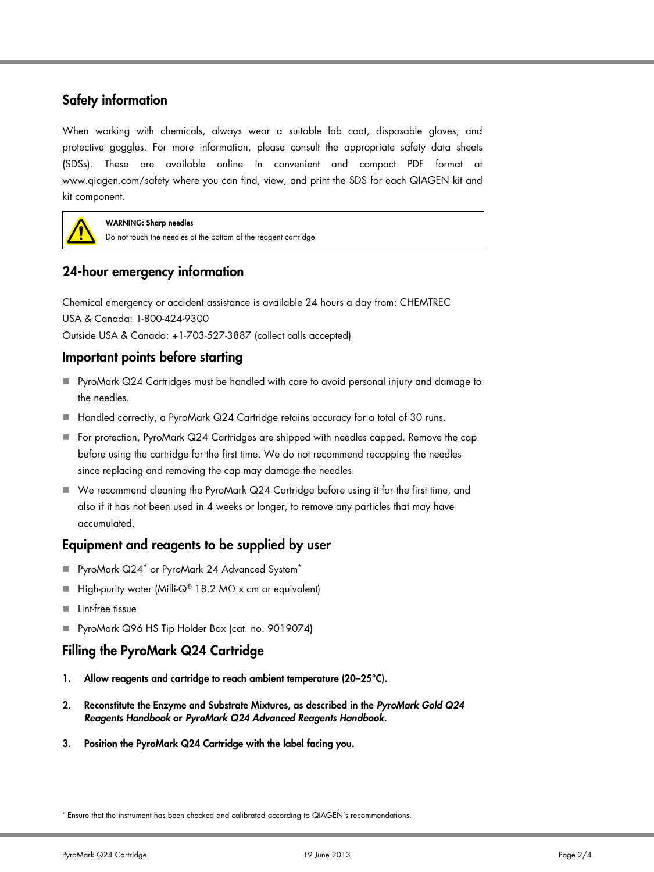### Safety information

When working with chemicals, always wear a suitable lab coat, disposable gloves, and protective goggles. For more information, please consult the appropriate safety data sheets (SDSs). These are available online in convenient and compact PDF format at [www.qiagen.com/safety](http://www.qiagen.com/safety) where you can find, view, and print the SDS for each QIAGEN kit and kit component.



WARNING: Sharp needles

Do not touch the needles at the bottom of the reagent cartridge.

## 24-hour emergency information

Chemical emergency or accident assistance is available 24 hours a day from: CHEMTREC USA & Canada: 1-800-424-9300 Outside USA & Canada: +1-703-527-3887 (collect calls accepted)

#### Important points before starting

- PyroMark Q24 Cartridges must be handled with care to avoid personal injury and damage to the needles.
- Handled correctly, a PyroMark Q24 Cartridge retains accuracy for a total of 30 runs.
- For protection, PyroMark Q24 Cartridges are shipped with needles capped. Remove the cap before using the cartridge for the first time. We do not recommend recapping the needles since replacing and removing the cap may damage the needles.
- We recommend cleaning the PyroMark Q24 Cartridge before using it for the first time, and also if it has not been used in 4 weeks or longer, to remove any particles that may have accumulated.

#### Equipment and reagents to be supplied by user

- PyroMark Q24<sup>[\\*](#page-1-0)</sup> or PyroMark 24 Advanced System<sup>\*</sup>
- $\blacksquare$  High-purity water (Milli-Q® 18.2 MΩ x cm or equivalent)
- **Lint-free tissue**
- PyroMark Q96 HS Tip Holder Box (cat. no. 9019074)

#### Filling the PyroMark Q24 Cartridge

- 1. Allow reagents and cartridge to reach ambient temperature (20–25°C).
- 2. Reconstitute the Enzyme and Substrate Mixtures, as described in the *PyroMark Gold Q24 Reagents Handbook* or *PyroMark Q24 Advanced Reagents Handbook.*
- 3. Position the PyroMark Q24 Cartridge with the label facing you.

<span id="page-1-0"></span><sup>\*</sup> Ensure that the instrument has been checked and calibrated according to QIAGEN's recommendations.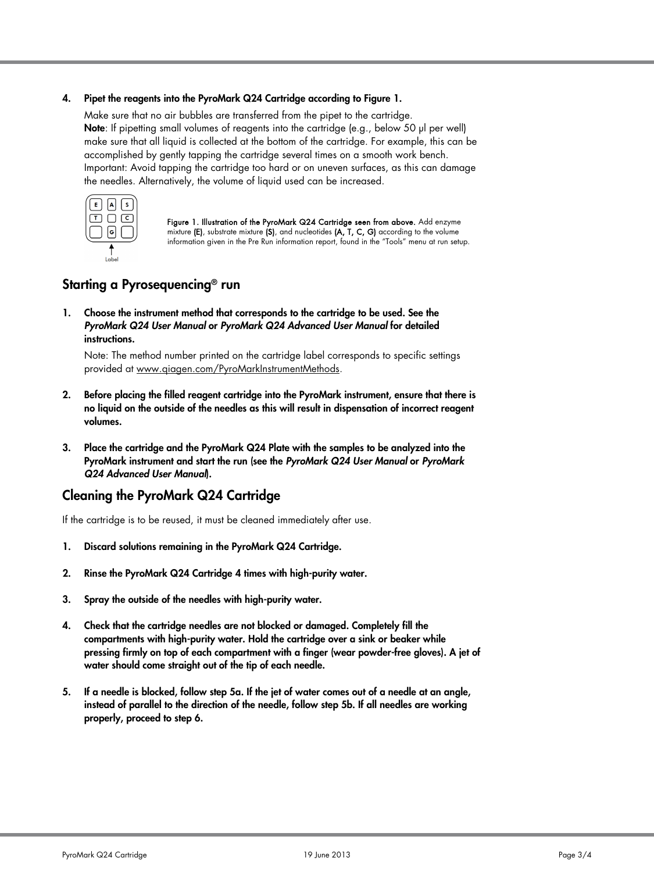#### 4. Pipet the reagents into the PyroMark Q24 Cartridge according to Figure 1.

Make sure that no air bubbles are transferred from the pipet to the cartridge. Note: If pipetting small volumes of reagents into the cartridge (e.g., below 50 µl per well) make sure that all liquid is collected at the bottom of the cartridge. For example, this can be accomplished by gently tapping the cartridge several times on a smooth work bench. Important: Avoid tapping the cartridge too hard or on uneven surfaces, as this can damage the needles. Alternatively, the volume of liquid used can be increased.



Figure 1. Illustration of the PyroMark Q24 Cartridge seen from above. Add enzyme mixture (E), substrate mixture (S), and nucleotides (A, T, C, G) according to the volume information given in the Pre Run information report, found in the "Tools" menu at run setup.

## Starting a Pyrosequencing® run

1. Choose the instrument method that corresponds to the cartridge to be used. See the *PyroMark Q24 User Manual* or *PyroMark Q24 Advanced User Manual* for detailed instructions.

Note: The method number printed on the cartridge label corresponds to specific settings provided at [www.qiagen.com/PyroMarkInstrumentMethods.](http://www.qiagen.com/PyroMarkInstrumentMethods)

- 2. Before placing the filled reagent cartridge into the PyroMark instrument, ensure that there is no liquid on the outside of the needles as this will result in dispensation of incorrect reagent volumes.
- 3. Place the cartridge and the PyroMark Q24 Plate with the samples to be analyzed into the PyroMark instrument and start the run (see the *PyroMark Q24 User Manual* or *PyroMark Q24 Advanced User Manual*).

#### Cleaning the PyroMark Q24 Cartridge

If the cartridge is to be reused, it must be cleaned immediately after use.

- 1. Discard solutions remaining in the PyroMark Q24 Cartridge.
- 2. Rinse the PyroMark Q24 Cartridge 4 times with high-purity water.
- 3. Spray the outside of the needles with high-purity water.
- 4. Check that the cartridge needles are not blocked or damaged. Completely fill the compartments with high-purity water. Hold the cartridge over a sink or beaker while pressing firmly on top of each compartment with a finger (wear powder-free gloves). A jet of water should come straight out of the tip of each needle.
- 5. If a needle is blocked, follow step 5a. If the jet of water comes out of a needle at an angle, instead of parallel to the direction of the needle, follow step 5b. If all needles are working properly, proceed to step 6.